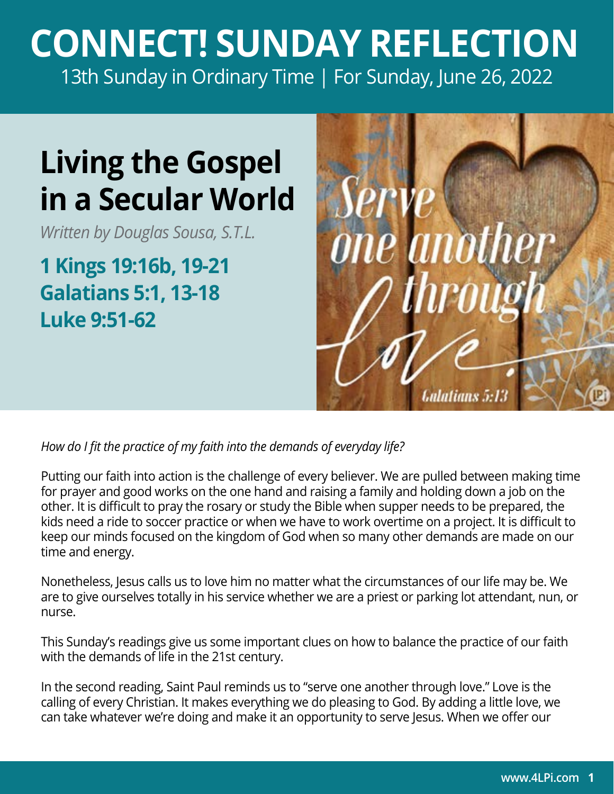## **CONNECT! SUNDAY REFLECTION** [13th Sunday in Ordinary Time | For Sunday, June 26, 2022](https://bible.usccb.org/bible/readings/062622.cfm)

## **Living the Gospel in a Secular World**

*Written by Douglas Sousa, S.T.L.*

**1 Kings 19:16b, 19-21 Galatians 5:1, 13-18 Luke 9:51-62**



*How do I fit the practice of my faith into the demands of everyday life?* 

Putting our faith into action is the challenge of every believer. We are pulled between making time for prayer and good works on the one hand and raising a family and holding down a job on the other. It is difficult to pray the rosary or study the Bible when supper needs to be prepared, the kids need a ride to soccer practice or when we have to work overtime on a project. It is difficult to keep our minds focused on the kingdom of God when so many other demands are made on our time and energy.

Nonetheless, Jesus calls us to love him no matter what the circumstances of our life may be. We are to give ourselves totally in his service whether we are a priest or parking lot attendant, nun, or nurse.

This Sunday's readings give us some important clues on how to balance the practice of our faith with the demands of life in the 21st century.

In the second reading, Saint Paul reminds us to "serve one another through love." Love is the calling of every Christian. It makes everything we do pleasing to God. By adding a little love, we can take whatever we're doing and make it an opportunity to serve Jesus. When we offer our